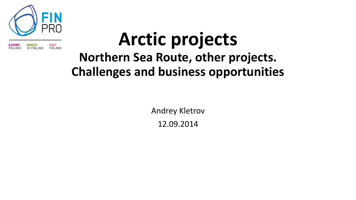

# **Arctic projects**

## **Northern Sea Route, other projects. Challenges and business opportunities**

Andrey Kletrov 12.09.2014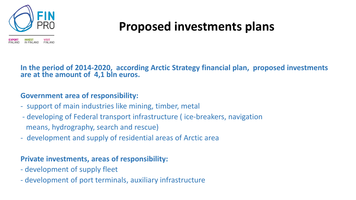

## **Proposed investments plans**

**In the period of 2014-2020, according Arctic Strategy financial plan, proposed investments are at the amount of 4,1 bln euros.**

### **Government area of responsibility:**

- support of main industries like mining, timber, metal
- developing of Federal transport infrastructure ( ice-breakers, navigation means, hydrography, search and rescue)
- development and supply of residential areas of Arctic area

### **Private investments, areas of responsibility:**

- development of supply fleet
- development of port terminals, auxiliary infrastructure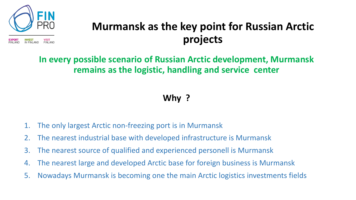

### **Murmansk as the key point for Russian Arctic projects**

### **In every possible scenario of Russian Arctic development, Murmansk remains as the logistic, handling and service center**

### **Why ?**

- 1. The only largest Arctic non-freezing port is in Murmansk
- 2. The nearest industrial base with developed infrastructure is Murmansk
- 3. The nearest source of qualified and experienced personell is Murmansk
- 4. The nearest large and developed Arctic base for foreign business is Murmansk
- 5. Nowadays Murmansk is becoming one the main Arctic logistics investments fields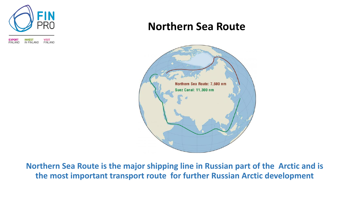

### **Northern Sea Route**



**Northern Sea Route is the major shipping line in Russian part of the Arctic and is the most important transport route for further Russian Arctic development**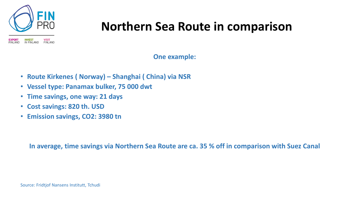

### **Northern Sea Route in comparison**

**One example:**

- **Route Kirkenes ( Norway) – Shanghai ( China) via NSR**
- **Vessel type: Panamax bulker, 75 000 dwt**
- **Time savings, one way: 21 days**
- **Cost savings: 820 th. USD**
- **Emission savings, CO2: 3980 tn**

**In average, time savings via Northern Sea Route are ca. 35 % off in comparison with Suez Canal**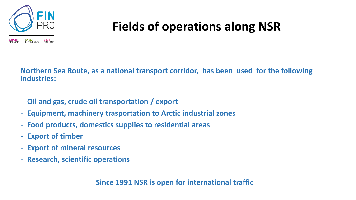

## **Fields of operations along NSR**

**Northern Sea Route, as a national transport corridor, has been used for the following industries:**

- **Oil and gas, crude oil transportation / export**
- **Equipment, machinery trasportation to Arctic industrial zones**
- **Food products, domestics supplies to residential areas**
- **Export of timber**
- **Export of mineral resources**
- **Research, scientific operations**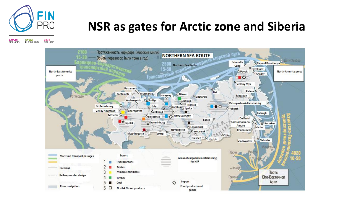

**NSR as gates for Arctic zone and Siberia**

**EXPORT INVEST VISIT FINLAND** IN FINLAND **FINLAND** 

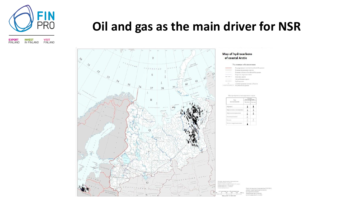

**VISIT**<br>FINLAND **EXPORT**<br>FINLAND **INVEST** IN FINLAND

### **Oil and gas as the main driver for NSR**



#### Map of hydrocarbons of coastal Arctic

#### Условные обозначения

Государствания граница Российской Федерации Граница федеральнах округов Гравные субъектов Российской Федораци Гидросеть береговая танн Желемые дороги Автомобильные леге Трубопровіси Азиннегративные завтры субъектов AREY FIELDENCE Российской Федерации

| Test<br>MOCTOPICA NAMES    | PANADIS<br>Battle's women's at |        |
|----------------------------|--------------------------------|--------|
|                            | Keyman:                        | Coaxwe |
| Hobrasse                   |                                |        |
| Нефтегазовое, типовефтикое |                                |        |
| Hobitetanesostamcamoe      |                                |        |
| Газантинские               |                                |        |
| Taxanoo                    |                                |        |
| Газовое испремышленное:    |                                |        |

TCC TSC range and the summarized entry and area иппо на 01.01.2000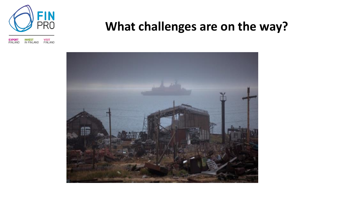

**What challenges are on the way?**

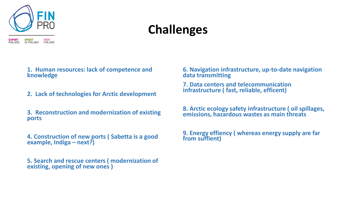

## **Challenges**

- **1. Human resources: lack of competence and knowledge**
- **2. Lack of technologies for Arctic development**
- **3. Reconstruction and modernization of existing ports**
- **4. Construction of new ports ( Sabetta is a good example, Indiga – next?)**

**5. Search and rescue centers ( modernization of existing, opening of new ones )**

**6. Navigation infrastructure, up-to-date navigation data transmitting**

**7. Data centers and telecommunication infrastructure ( fast, reliable, efficent)**

**8. Arctic ecology safety infrastructure ( oil spillages, emissions, hazardous wastes as main threats**

**9. Energy effiency ( whereas energy supply are far from suffient)**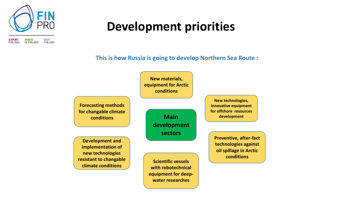

## **Development priorities**

**This is how Russia is going to develop Northern Sea Route :**

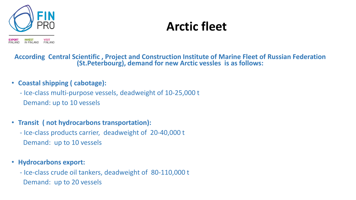

## **Arctic fleet**

**According Central Scientific , Project and Construction Institute of Marine Fleet of Russian Federation (St.Peterbourg), demand for new Arctic vessles is as follows:**

- **Coastal shipping ( cabotage):**
	- Ice-class multi-purpose vessels, deadweight of 10-25,000 t Demand: up to 10 vessels
- **Transit ( not hydrocarbons transportation):**
	- Ice-class products carrier, deadweight of 20-40,000 t Demand: up to 10 vessels
- **Hydrocarbons export:**
	- Ice-class crude oil tankers, deadweight of 80-110,000 t
	- Demand: up to 20 vessels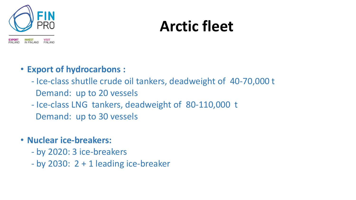

## **Arctic fleet**

- **Export of hydrocarbons :**
	- Ice-class shutlle crude oil tankers, deadweight of 40-70,000 t Demand: up to 20 vessels
	- Ice-class LNG tankers, deadweight of 80-110,000 t Demand: up to 30 vessels
- **Nuclear ice-breakers:**
	- by 2020: 3 ice-breakers
	- by 2030: 2 + 1 leading ice-breaker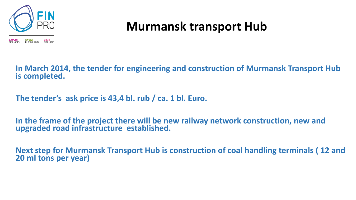

## **Murmansk transport Hub**

**In March 2014, the tender for engineering and construction of Murmansk Transport Hub is completed.**

**The tender's ask price is 43,4 bl. rub / ca. 1 bl. Euro.**

**In the frame of the project there will be new railway network construction, new and upgraded road infrastructure established.**

**Next step for Murmansk Transport Hub is construction of coal handling terminals ( 12 and 20 ml tons per year)**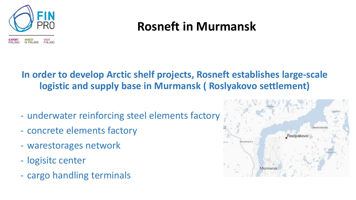

## **Rosneft in Murmansk**

### **In order to develop Arctic shelf projects, Rosneft establishes large-scale logistic and supply base in Murmansk ( Roslyakovo settlement)**

- underwater reinforcing steel elements factory
- concrete elements factory
- warestorages network
- logisitc center
- cargo handling terminals

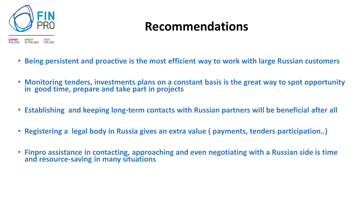

## **Recommendations**

- **Being persistent and proactive is the most efficient way to work with large Russian customers**
- **Monitoring tenders, investments plans on a constant basis is the great way to spot opportunity in good time, prepare and take part in projects**
- **Establishing and keeping long-term contacts with Russian partners will be beneficial after all**
- **Registering a legal body in Russia gives an extra value ( payments, tenders participation..)**
- **Finpro assistance in contacting, approaching and even negotiating with a Russian side is time and resource-saving in many situations**